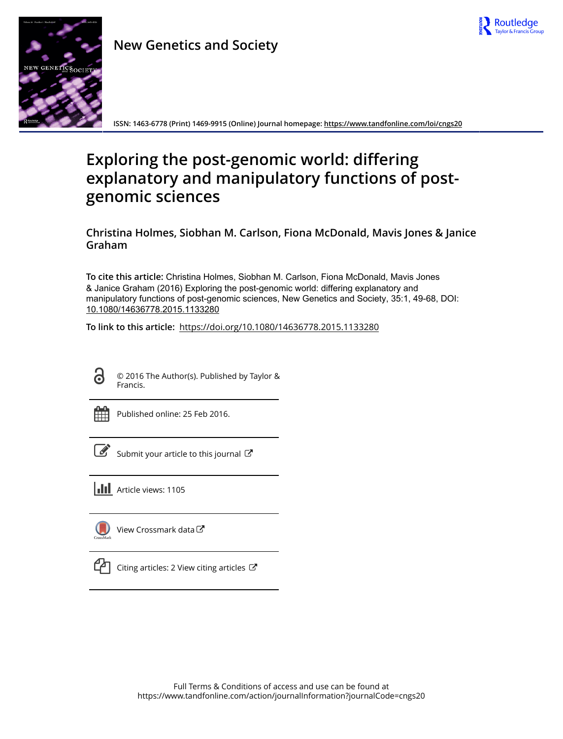

# New Genetics and Society



ISSN: 1463-6778 (Print) 1469-9915 (Online) Journal homepage:<https://www.tandfonline.com/loi/cngs20>

# Exploring the post-genomic world: differing explanatory and manipulatory functions of postgenomic sciences

Christina Holmes, Siobhan M. Carlson, Fiona McDonald, Mavis Jones & Janice Graham

To cite this article: Christina Holmes, Siobhan M. Carlson, Fiona McDonald, Mavis Jones & Janice Graham (2016) Exploring the post-genomic world: differing explanatory and manipulatory functions of post-genomic sciences, New Genetics and Society, 35:1, 49-68, DOI: [10.1080/14636778.2015.1133280](https://www.tandfonline.com/action/showCitFormats?doi=10.1080/14636778.2015.1133280)

To link to this article: <https://doi.org/10.1080/14636778.2015.1133280>



© 2016 The Author(s). Published by Taylor & Francis.

Published online: 25 Feb 2016.

| I |
|---|

[Submit your article to this journal](https://www.tandfonline.com/action/authorSubmission?journalCode=cngs20&show=instructions)  $\mathbb{Z}$ 



[View Crossmark data](http://crossmark.crossref.org/dialog/?doi=10.1080/14636778.2015.1133280&domain=pdf&date_stamp=2016-02-25)  $\sigma$ 



 $\Box$  [Citing articles: 2 View citing articles](https://www.tandfonline.com/doi/citedby/10.1080/14636778.2015.1133280#tabModule)  $\Box$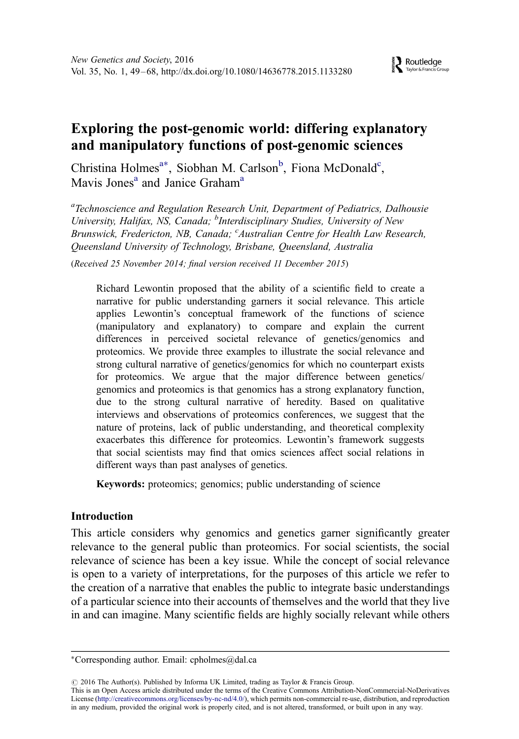## Exploring the post-genomic world: differing explanatory and manipulatory functions of post-genomic sciences

Christina Holmes<sup>a\*</sup>, Siobhan M. Carlson<sup>b</sup>, Fiona McDonald<sup>c</sup>, Mavis Jones<sup>a</sup> and Janice Graham<sup>a</sup>

<sup>a</sup>Technoscience and Regulation Research Unit, Department of Pediatrics, Dalhousie University, Halifax, NS, Canada; <sup>b</sup>Interdisciplinary Studies, University of New Brunswick, Fredericton, NB, Canada; <sup>c</sup>Australian Centre for Health Law Research, Queensland University of Technology, Brisbane, Queensland, Australia

(Received 25 November 2014; final version received 11 December 2015)

Richard Lewontin proposed that the ability of a scientific field to create a narrative for public understanding garners it social relevance. This article applies Lewontin's conceptual framework of the functions of science (manipulatory and explanatory) to compare and explain the current differences in perceived societal relevance of genetics/genomics and proteomics. We provide three examples to illustrate the social relevance and strong cultural narrative of genetics/genomics for which no counterpart exists for proteomics. We argue that the major difference between genetics/ genomics and proteomics is that genomics has a strong explanatory function, due to the strong cultural narrative of heredity. Based on qualitative interviews and observations of proteomics conferences, we suggest that the nature of proteins, lack of public understanding, and theoretical complexity exacerbates this difference for proteomics. Lewontin's framework suggests that social scientists may find that omics sciences affect social relations in different ways than past analyses of genetics.

Keywords: proteomics; genomics; public understanding of science

## Introduction

This article considers why genomics and genetics garner significantly greater relevance to the general public than proteomics. For social scientists, the social relevance of science has been a key issue. While the concept of social relevance is open to a variety of interpretations, for the purposes of this article we refer to the creation of a narrative that enables the public to integrate basic understandings of a particular science into their accounts of themselves and the world that they live in and can imagine. Many scientific fields are highly socially relevant while others

 $\odot$  2016 The Author(s). Published by Informa UK Limited, trading as Taylor & Francis Group.

This is an Open Access article distributed under the terms of the Creative Commons Attribution-NonCommercial-NoDerivatives License ([http://creativecommons.org/licenses/by-nc-nd/4.0/\)](http://creativecommons.org/licenses/by-nc-nd/4.0/), which permits non-commercial re-use, distribution, and reproduction in any medium, provided the original work is properly cited, and is not altered, transformed, or built upon in any way.

<sup>∗</sup>Corresponding author. Email: [cpholmes@dal.ca](mailto:cpholmes@dal.ca)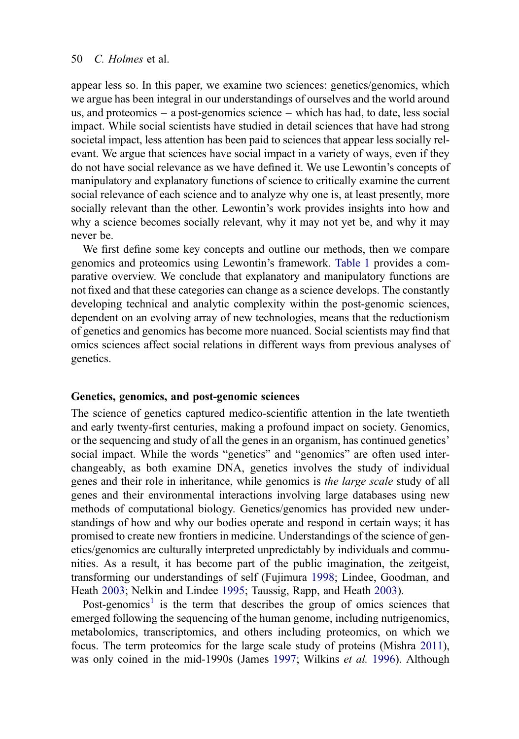<span id="page-2-0"></span>appear less so. In this paper, we examine two sciences: genetics/genomics, which we argue has been integral in our understandings of ourselves and the world around us, and proteomics – a post-genomics science – which has had, to date, less social impact. While social scientists have studied in detail sciences that have had strong societal impact, less attention has been paid to sciences that appear less socially relevant. We argue that sciences have social impact in a variety of ways, even if they do not have social relevance as we have defined it. We use Lewontin's concepts of manipulatory and explanatory functions of science to critically examine the current social relevance of each science and to analyze why one is, at least presently, more socially relevant than the other. Lewontin's work provides insights into how and why a science becomes socially relevant, why it may not yet be, and why it may never be.

We first define some key concepts and outline our methods, then we compare genomics and proteomics using Lewontin's framework. [Table 1](#page-3-0) provides a comparative overview. We conclude that explanatory and manipulatory functions are not fixed and that these categories can change as a science develops. The constantly developing technical and analytic complexity within the post-genomic sciences, dependent on an evolving array of new technologies, means that the reductionism of genetics and genomics has become more nuanced. Social scientists may find that omics sciences affect social relations in different ways from previous analyses of genetics.

## Genetics, genomics, and post-genomic sciences

The science of genetics captured medico-scientific attention in the late twentieth and early twenty-first centuries, making a profound impact on society. Genomics, or the sequencing and study of all the genes in an organism, has continued genetics' social impact. While the words "genetics" and "genomics" are often used interchangeably, as both examine DNA, genetics involves the study of individual genes and their role in inheritance, while genomics is the large scale study of all genes and their environmental interactions involving large databases using new methods of computational biology. Genetics/genomics has provided new understandings of how and why our bodies operate and respond in certain ways; it has promised to create new frontiers in medicine. Understandings of the science of genetics/genomics are culturally interpreted unpredictably by individuals and communities. As a result, it has become part of the public imagination, the zeitgeist, transforming our understandings of self (Fujimura [1998;](#page-18-0) Lindee, Goodman, and Heath [2003;](#page-19-0) Nelkin and Lindee [1995;](#page-19-0) Taussig, Rapp, and Heath [2003\)](#page-20-0).

Post-genomics<sup>[1](#page-17-0)</sup> is the term that describes the group of omics sciences that emerged following the sequencing of the human genome, including nutrigenomics, metabolomics, transcriptomics, and others including proteomics, on which we focus. The term proteomics for the large scale study of proteins (Mishra [2011](#page-19-0)), was only coined in the mid-1990s (James [1997;](#page-18-0) Wilkins et al. [1996\)](#page-20-0). Although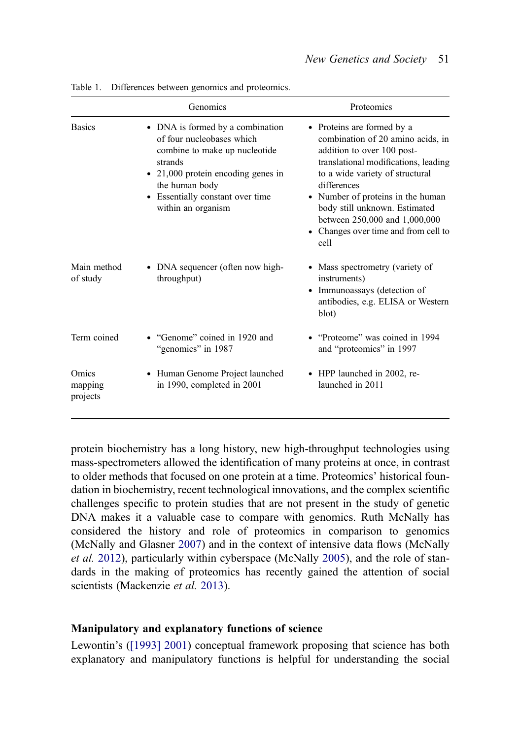|                              | Genomics                                                                                                                                                                                                                    | Proteomics                                                                                                                                                                                                                                                                                                                                     |
|------------------------------|-----------------------------------------------------------------------------------------------------------------------------------------------------------------------------------------------------------------------------|------------------------------------------------------------------------------------------------------------------------------------------------------------------------------------------------------------------------------------------------------------------------------------------------------------------------------------------------|
| <b>Basics</b>                | • DNA is formed by a combination<br>of four nucleobases which<br>combine to make up nucleotide<br>strands<br>• 21,000 protein encoding genes in<br>the human body<br>• Essentially constant over time<br>within an organism | • Proteins are formed by a<br>combination of 20 amino acids, in<br>addition to over 100 post-<br>translational modifications, leading<br>to a wide variety of structural<br>differences<br>• Number of proteins in the human<br>body still unknown. Estimated<br>between 250,000 and 1,000,000<br>• Changes over time and from cell to<br>cell |
| Main method<br>of study      | DNA sequencer (often now high-<br>throughput)                                                                                                                                                                               | • Mass spectrometry (variety of<br>instruments)<br>• Immunoassays (detection of<br>antibodies, e.g. ELISA or Western<br>blot)                                                                                                                                                                                                                  |
| Term coined                  | • "Genome" coined in 1920 and<br>"genomics" in 1987                                                                                                                                                                         | • "Proteome" was coined in 1994<br>and "proteomics" in 1997                                                                                                                                                                                                                                                                                    |
| Omics<br>mapping<br>projects | Human Genome Project launched<br>٠<br>in 1990, completed in 2001                                                                                                                                                            | • HPP launched in 2002, re-<br>launched in 2011                                                                                                                                                                                                                                                                                                |

<span id="page-3-0"></span>Table 1. Differences between genomics and proteomics.

protein biochemistry has a long history, new high-throughput technologies using mass-spectrometers allowed the identification of many proteins at once, in contrast to older methods that focused on one protein at a time. Proteomics' historical foundation in biochemistry, recent technological innovations, and the complex scientific challenges specific to protein studies that are not present in the study of genetic DNA makes it a valuable case to compare with genomics. Ruth McNally has considered the history and role of proteomics in comparison to genomics (McNally and Glasner [2007\)](#page-19-0) and in the context of intensive data flows (McNally et al. [2012](#page-19-0)), particularly within cyberspace (McNally [2005\)](#page-19-0), and the role of standards in the making of proteomics has recently gained the attention of social scientists (Mackenzie et al. [2013\)](#page-19-0).

## Manipulatory and explanatory functions of science

Lewontin's ([\[1993\] 2001](#page-19-0)) conceptual framework proposing that science has both explanatory and manipulatory functions is helpful for understanding the social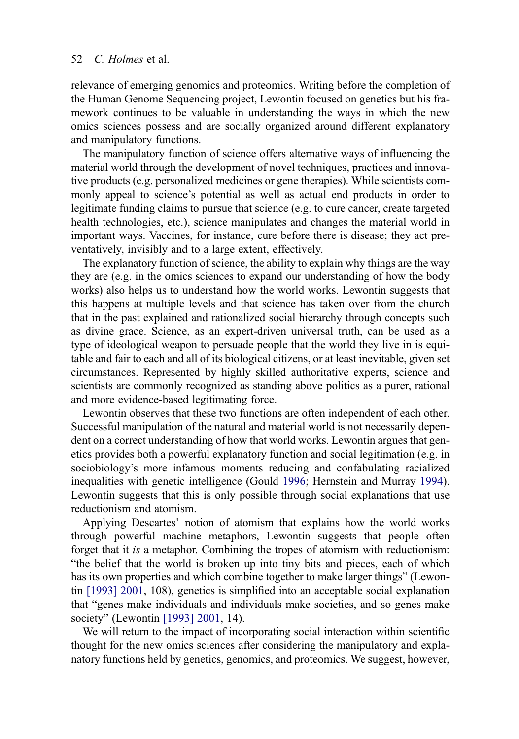<span id="page-4-0"></span>relevance of emerging genomics and proteomics. Writing before the completion of the Human Genome Sequencing project, Lewontin focused on genetics but his framework continues to be valuable in understanding the ways in which the new omics sciences possess and are socially organized around different explanatory and manipulatory functions.

The manipulatory function of science offers alternative ways of influencing the material world through the development of novel techniques, practices and innovative products (e.g. personalized medicines or gene therapies). While scientists commonly appeal to science's potential as well as actual end products in order to legitimate funding claims to pursue that science (e.g. to cure cancer, create targeted health technologies, etc.), science manipulates and changes the material world in important ways. Vaccines, for instance, cure before there is disease; they act preventatively, invisibly and to a large extent, effectively.

The explanatory function of science, the ability to explain why things are the way they are (e.g. in the omics sciences to expand our understanding of how the body works) also helps us to understand how the world works. Lewontin suggests that this happens at multiple levels and that science has taken over from the church that in the past explained and rationalized social hierarchy through concepts such as divine grace. Science, as an expert-driven universal truth, can be used as a type of ideological weapon to persuade people that the world they live in is equitable and fair to each and all of its biological citizens, or at least inevitable, given set circumstances. Represented by highly skilled authoritative experts, science and scientists are commonly recognized as standing above politics as a purer, rational and more evidence-based legitimating force.

Lewontin observes that these two functions are often independent of each other. Successful manipulation of the natural and material world is not necessarily dependent on a correct understanding of how that world works. Lewontin argues that genetics provides both a powerful explanatory function and social legitimation (e.g. in sociobiology's more infamous moments reducing and confabulating racialized inequalities with genetic intelligence (Gould [1996;](#page-18-0) Hernstein and Murray [1994](#page-18-0)). Lewontin suggests that this is only possible through social explanations that use reductionism and atomism.

Applying Descartes' notion of atomism that explains how the world works through powerful machine metaphors, Lewontin suggests that people often forget that it is a metaphor. Combining the tropes of atomism with reductionism: "the belief that the world is broken up into tiny bits and pieces, each of which has its own properties and which combine together to make larger things" (Lewontin [\[1993\] 2001,](#page-19-0) 108), genetics is simplified into an acceptable social explanation that "genes make individuals and individuals make societies, and so genes make society" (Lewontin [\[1993\] 2001,](#page-19-0) 14).

We will return to the impact of incorporating social interaction within scientific thought for the new omics sciences after considering the manipulatory and explanatory functions held by genetics, genomics, and proteomics. We suggest, however,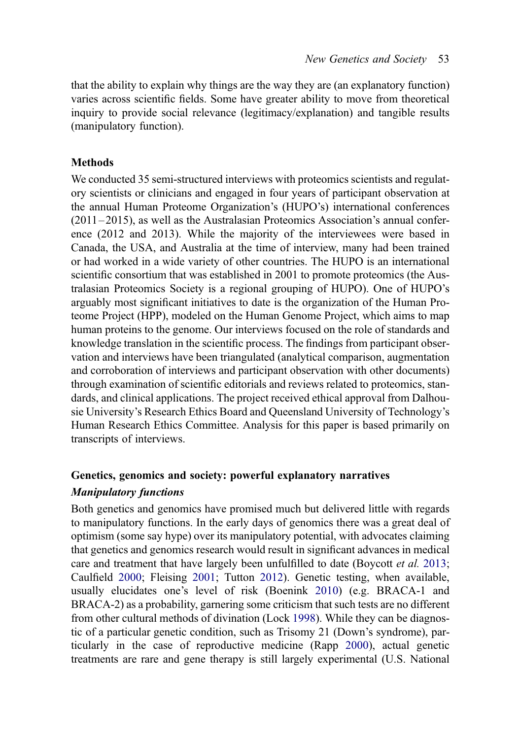<span id="page-5-0"></span>that the ability to explain why things are the way they are (an explanatory function) varies across scientific fields. Some have greater ability to move from theoretical inquiry to provide social relevance (legitimacy/explanation) and tangible results (manipulatory function).

## **Methods**

We conducted 35 semi-structured interviews with proteomics scientists and regulatory scientists or clinicians and engaged in four years of participant observation at the annual Human Proteome Organization's (HUPO's) international conferences  $(2011-2015)$ , as well as the Australasian Proteomics Association's annual conference (2012 and 2013). While the majority of the interviewees were based in Canada, the USA, and Australia at the time of interview, many had been trained or had worked in a wide variety of other countries. The HUPO is an international scientific consortium that was established in 2001 to promote proteomics (the Australasian Proteomics Society is a regional grouping of HUPO). One of HUPO's arguably most significant initiatives to date is the organization of the Human Proteome Project (HPP), modeled on the Human Genome Project, which aims to map human proteins to the genome. Our interviews focused on the role of standards and knowledge translation in the scientific process. The findings from participant observation and interviews have been triangulated (analytical comparison, augmentation and corroboration of interviews and participant observation with other documents) through examination of scientific editorials and reviews related to proteomics, standards, and clinical applications. The project received ethical approval from Dalhousie University's Research Ethics Board and Queensland University of Technology's Human Research Ethics Committee. Analysis for this paper is based primarily on transcripts of interviews.

## Genetics, genomics and society: powerful explanatory narratives

## Manipulatory functions

Both genetics and genomics have promised much but delivered little with regards to manipulatory functions. In the early days of genomics there was a great deal of optimism (some say hype) over its manipulatory potential, with advocates claiming that genetics and genomics research would result in significant advances in medical care and treatment that have largely been unfulfilled to date (Boycott et al. [2013;](#page-17-0) Caulfield [2000;](#page-17-0) Fleising [2001](#page-18-0); Tutton [2012](#page-20-0)). Genetic testing, when available, usually elucidates one's level of risk (Boenink [2010\)](#page-17-0) (e.g. BRACA-1 and BRACA-2) as a probability, garnering some criticism that such tests are no different from other cultural methods of divination (Lock [1998](#page-19-0)). While they can be diagnostic of a particular genetic condition, such as Trisomy 21 (Down's syndrome), particularly in the case of reproductive medicine (Rapp [2000](#page-19-0)), actual genetic treatments are rare and gene therapy is still largely experimental (U.S. National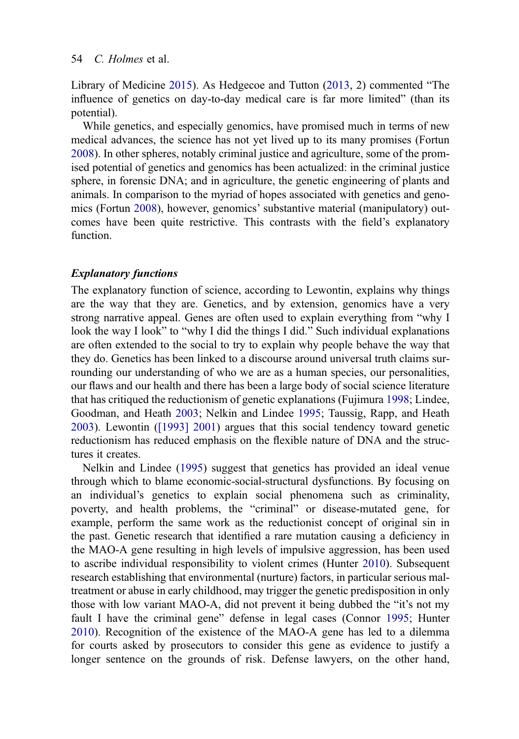<span id="page-6-0"></span>Library of Medicine [2015\)](#page-20-0). As Hedgecoe and Tutton ([2013,](#page-18-0) 2) commented "The influence of genetics on day-to-day medical care is far more limited" (than its potential).

While genetics, and especially genomics, have promised much in terms of new medical advances, the science has not yet lived up to its many promises (Fortun [2008\)](#page-18-0). In other spheres, notably criminal justice and agriculture, some of the promised potential of genetics and genomics has been actualized: in the criminal justice sphere, in forensic DNA; and in agriculture, the genetic engineering of plants and animals. In comparison to the myriad of hopes associated with genetics and genomics (Fortun [2008](#page-18-0)), however, genomics' substantive material (manipulatory) outcomes have been quite restrictive. This contrasts with the field's explanatory function.

## Explanatory functions

The explanatory function of science, according to Lewontin, explains why things are the way that they are. Genetics, and by extension, genomics have a very strong narrative appeal. Genes are often used to explain everything from "why I look the way I look" to "why I did the things I did." Such individual explanations are often extended to the social to try to explain why people behave the way that they do. Genetics has been linked to a discourse around universal truth claims surrounding our understanding of who we are as a human species, our personalities, our flaws and our health and there has been a large body of social science literature that has critiqued the reductionism of genetic explanations (Fujimura [1998](#page-18-0); Lindee, Goodman, and Heath [2003](#page-19-0); Nelkin and Lindee [1995](#page-19-0); Taussig, Rapp, and Heath [2003\)](#page-20-0). Lewontin [\(\[1993\] 2001\)](#page-19-0) argues that this social tendency toward genetic reductionism has reduced emphasis on the flexible nature of DNA and the structures it creates.

Nelkin and Lindee [\(1995](#page-19-0)) suggest that genetics has provided an ideal venue through which to blame economic-social-structural dysfunctions. By focusing on an individual's genetics to explain social phenomena such as criminality, poverty, and health problems, the "criminal" or disease-mutated gene, for example, perform the same work as the reductionist concept of original sin in the past. Genetic research that identified a rare mutation causing a deficiency in the MAO-A gene resulting in high levels of impulsive aggression, has been used to ascribe individual responsibility to violent crimes (Hunter [2010\)](#page-18-0). Subsequent research establishing that environmental (nurture) factors, in particular serious maltreatment or abuse in early childhood, may trigger the genetic predisposition in only those with low variant MAO-A, did not prevent it being dubbed the "it's not my fault I have the criminal gene" defense in legal cases (Connor [1995;](#page-17-0) Hunter [2010\)](#page-18-0). Recognition of the existence of the MAO-A gene has led to a dilemma for courts asked by prosecutors to consider this gene as evidence to justify a longer sentence on the grounds of risk. Defense lawyers, on the other hand,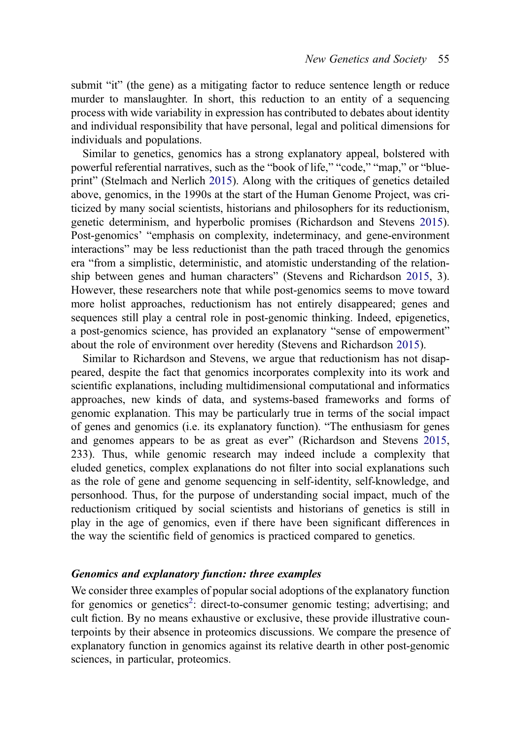<span id="page-7-0"></span>submit "it" (the gene) as a mitigating factor to reduce sentence length or reduce murder to manslaughter. In short, this reduction to an entity of a sequencing process with wide variability in expression has contributed to debates about identity and individual responsibility that have personal, legal and political dimensions for individuals and populations.

Similar to genetics, genomics has a strong explanatory appeal, bolstered with powerful referential narratives, such as the "book of life," "code," "map," or "blueprint" (Stelmach and Nerlich [2015\)](#page-20-0). Along with the critiques of genetics detailed above, genomics, in the 1990s at the start of the Human Genome Project, was criticized by many social scientists, historians and philosophers for its reductionism, genetic determinism, and hyperbolic promises (Richardson and Stevens [2015](#page-19-0)). Post-genomics' "emphasis on complexity, indeterminacy, and gene-environment interactions" may be less reductionist than the path traced through the genomics era "from a simplistic, deterministic, and atomistic understanding of the relationship between genes and human characters" (Stevens and Richardson [2015](#page-20-0), 3). However, these researchers note that while post-genomics seems to move toward more holist approaches, reductionism has not entirely disappeared; genes and sequences still play a central role in post-genomic thinking. Indeed, epigenetics, a post-genomics science, has provided an explanatory "sense of empowerment" about the role of environment over heredity (Stevens and Richardson [2015](#page-20-0)).

Similar to Richardson and Stevens, we argue that reductionism has not disappeared, despite the fact that genomics incorporates complexity into its work and scientific explanations, including multidimensional computational and informatics approaches, new kinds of data, and systems-based frameworks and forms of genomic explanation. This may be particularly true in terms of the social impact of genes and genomics (i.e. its explanatory function). "The enthusiasm for genes and genomes appears to be as great as ever" (Richardson and Stevens [2015,](#page-19-0) 233). Thus, while genomic research may indeed include a complexity that eluded genetics, complex explanations do not filter into social explanations such as the role of gene and genome sequencing in self-identity, self-knowledge, and personhood. Thus, for the purpose of understanding social impact, much of the reductionism critiqued by social scientists and historians of genetics is still in play in the age of genomics, even if there have been significant differences in the way the scientific field of genomics is practiced compared to genetics.

## Genomics and explanatory function: three examples

We consider three examples of popular social adoptions of the explanatory function for genomics or genetics<sup>[2](#page-17-0)</sup>: direct-to-consumer genomic testing; advertising; and cult fiction. By no means exhaustive or exclusive, these provide illustrative counterpoints by their absence in proteomics discussions. We compare the presence of explanatory function in genomics against its relative dearth in other post-genomic sciences, in particular, proteomics.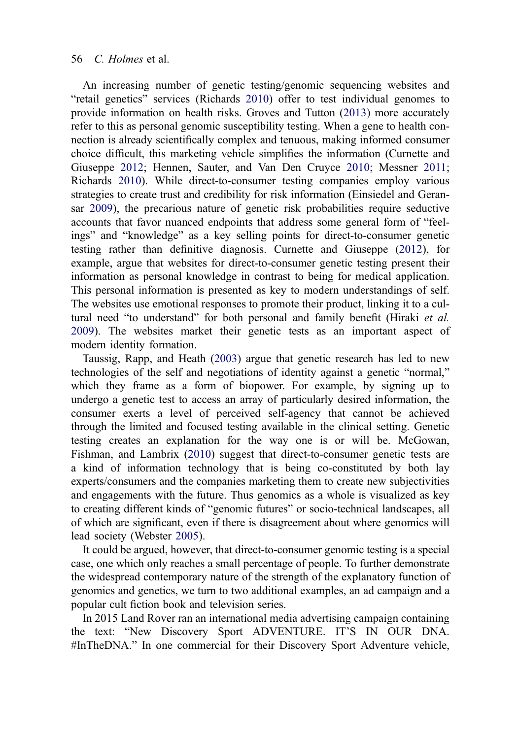<span id="page-8-0"></span>An increasing number of genetic testing/genomic sequencing websites and "retail genetics" services (Richards [2010\)](#page-19-0) offer to test individual genomes to provide information on health risks. Groves and Tutton ([2013\)](#page-18-0) more accurately refer to this as personal genomic susceptibility testing. When a gene to health connection is already scientifically complex and tenuous, making informed consumer choice difficult, this marketing vehicle simplifies the information (Curnette and Giuseppe [2012;](#page-18-0) Hennen, Sauter, and Van Den Cruyce [2010](#page-18-0); Messner [2011;](#page-19-0) Richards [2010](#page-19-0)). While direct-to-consumer testing companies employ various strategies to create trust and credibility for risk information (Einsiedel and Geransar [2009](#page-18-0)), the precarious nature of genetic risk probabilities require seductive accounts that favor nuanced endpoints that address some general form of "feelings" and "knowledge" as a key selling points for direct-to-consumer genetic testing rather than definitive diagnosis. Curnette and Giuseppe ([2012\)](#page-18-0), for example, argue that websites for direct-to-consumer genetic testing present their information as personal knowledge in contrast to being for medical application. This personal information is presented as key to modern understandings of self. The websites use emotional responses to promote their product, linking it to a cultural need "to understand" for both personal and family benefit (Hiraki et al. [2009\)](#page-18-0). The websites market their genetic tests as an important aspect of modern identity formation.

Taussig, Rapp, and Heath ([2003\)](#page-20-0) argue that genetic research has led to new technologies of the self and negotiations of identity against a genetic "normal," which they frame as a form of biopower. For example, by signing up to undergo a genetic test to access an array of particularly desired information, the consumer exerts a level of perceived self-agency that cannot be achieved through the limited and focused testing available in the clinical setting. Genetic testing creates an explanation for the way one is or will be. McGowan, Fishman, and Lambrix ([2010\)](#page-19-0) suggest that direct-to-consumer genetic tests are a kind of information technology that is being co-constituted by both lay experts/consumers and the companies marketing them to create new subjectivities and engagements with the future. Thus genomics as a whole is visualized as key to creating different kinds of "genomic futures" or socio-technical landscapes, all of which are significant, even if there is disagreement about where genomics will lead society (Webster [2005\)](#page-20-0).

It could be argued, however, that direct-to-consumer genomic testing is a special case, one which only reaches a small percentage of people. To further demonstrate the widespread contemporary nature of the strength of the explanatory function of genomics and genetics, we turn to two additional examples, an ad campaign and a popular cult fiction book and television series.

In 2015 Land Rover ran an international media advertising campaign containing the text: "New Discovery Sport ADVENTURE. IT'S IN OUR DNA. #InTheDNA." In one commercial for their Discovery Sport Adventure vehicle,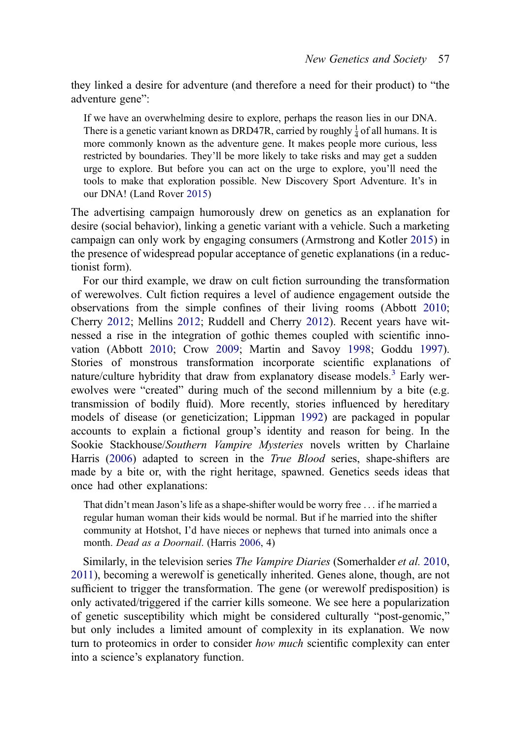<span id="page-9-0"></span>they linked a desire for adventure (and therefore a need for their product) to "the adventure gene":

If we have an overwhelming desire to explore, perhaps the reason lies in our DNA. There is a genetic variant known as DRD47R, carried by roughly  $\frac{1}{4}$  of all humans. It is more commonly known as the adventure gene. It makes people more curious, less restricted by boundaries. They'll be more likely to take risks and may get a sudden urge to explore. But before you can act on the urge to explore, you'll need the tools to make that exploration possible. New Discovery Sport Adventure. It's in our DNA! (Land Rover [2015\)](#page-18-0)

The advertising campaign humorously drew on genetics as an explanation for desire (social behavior), linking a genetic variant with a vehicle. Such a marketing campaign can only work by engaging consumers (Armstrong and Kotler [2015](#page-17-0)) in the presence of widespread popular acceptance of genetic explanations (in a reductionist form).

For our third example, we draw on cult fiction surrounding the transformation of werewolves. Cult fiction requires a level of audience engagement outside the observations from the simple confines of their living rooms (Abbott [2010;](#page-17-0) Cherry [2012;](#page-17-0) Mellins [2012;](#page-19-0) Ruddell and Cherry [2012](#page-19-0)). Recent years have witnessed a rise in the integration of gothic themes coupled with scientific innovation (Abbott [2010](#page-17-0); Crow [2009](#page-18-0); Martin and Savoy [1998;](#page-19-0) Goddu [1997](#page-18-0)). Stories of monstrous transformation incorporate scientific explanations of nature/culture hybridity that draw from explanatory disease models.<sup>[3](#page-17-0)</sup> Early werewolves were "created" during much of the second millennium by a bite (e.g. transmission of bodily fluid). More recently, stories influenced by hereditary models of disease (or geneticization; Lippman [1992\)](#page-19-0) are packaged in popular accounts to explain a fictional group's identity and reason for being. In the Sookie Stackhouse/Southern Vampire Mysteries novels written by Charlaine Harris [\(2006](#page-18-0)) adapted to screen in the True Blood series, shape-shifters are made by a bite or, with the right heritage, spawned. Genetics seeds ideas that once had other explanations:

That didn't mean Jason's life as a shape-shifter would be worry free ... if he married a regular human woman their kids would be normal. But if he married into the shifter community at Hotshot, I'd have nieces or nephews that turned into animals once a month. Dead as a Doornail. (Harris [2006,](#page-18-0) 4)

Similarly, in the television series The Vampire Diaries (Somerhalder et al. [2010,](#page-19-0) [2011](#page-19-0)), becoming a werewolf is genetically inherited. Genes alone, though, are not sufficient to trigger the transformation. The gene (or werewolf predisposition) is only activated/triggered if the carrier kills someone. We see here a popularization of genetic susceptibility which might be considered culturally "post-genomic," but only includes a limited amount of complexity in its explanation. We now turn to proteomics in order to consider how much scientific complexity can enter into a science's explanatory function.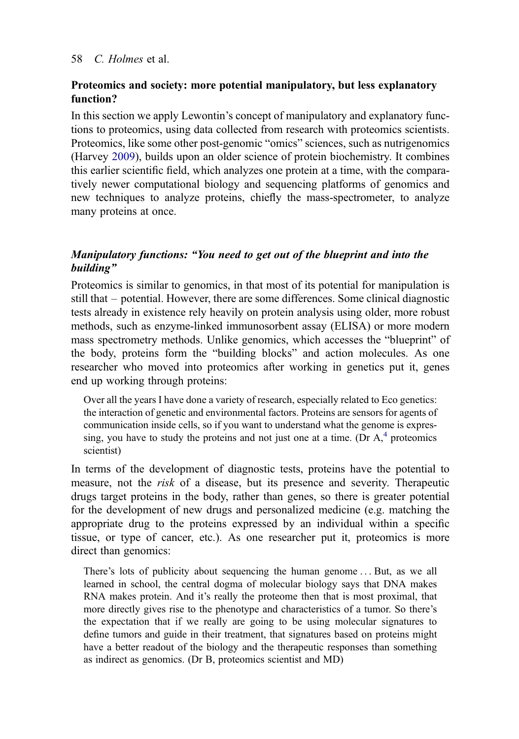## <span id="page-10-0"></span>Proteomics and society: more potential manipulatory, but less explanatory function?

In this section we apply Lewontin's concept of manipulatory and explanatory functions to proteomics, using data collected from research with proteomics scientists. Proteomics, like some other post-genomic "omics" sciences, such as nutrigenomics (Harvey [2009](#page-18-0)), builds upon an older science of protein biochemistry. It combines this earlier scientific field, which analyzes one protein at a time, with the comparatively newer computational biology and sequencing platforms of genomics and new techniques to analyze proteins, chiefly the mass-spectrometer, to analyze many proteins at once.

## Manipulatory functions: "You need to get out of the blueprint and into the building"

Proteomics is similar to genomics, in that most of its potential for manipulation is still that – potential. However, there are some differences. Some clinical diagnostic tests already in existence rely heavily on protein analysis using older, more robust methods, such as enzyme-linked immunosorbent assay (ELISA) or more modern mass spectrometry methods. Unlike genomics, which accesses the "blueprint" of the body, proteins form the "building blocks" and action molecules. As one researcher who moved into proteomics after working in genetics put it, genes end up working through proteins:

Over all the years I have done a variety of research, especially related to Eco genetics: the interaction of genetic and environmental factors. Proteins are sensors for agents of communication inside cells, so if you want to understand what the genome is expressing, you have to study the proteins and not just one at a time. (Dr  $A$ ,  $4$  proteomics scientist)

In terms of the development of diagnostic tests, proteins have the potential to measure, not the risk of a disease, but its presence and severity. Therapeutic drugs target proteins in the body, rather than genes, so there is greater potential for the development of new drugs and personalized medicine (e.g. matching the appropriate drug to the proteins expressed by an individual within a specific tissue, or type of cancer, etc.). As one researcher put it, proteomics is more direct than genomics:

There's lots of publicity about sequencing the human genome ... But, as we all learned in school, the central dogma of molecular biology says that DNA makes RNA makes protein. And it's really the proteome then that is most proximal, that more directly gives rise to the phenotype and characteristics of a tumor. So there's the expectation that if we really are going to be using molecular signatures to define tumors and guide in their treatment, that signatures based on proteins might have a better readout of the biology and the therapeutic responses than something as indirect as genomics. (Dr B, proteomics scientist and MD)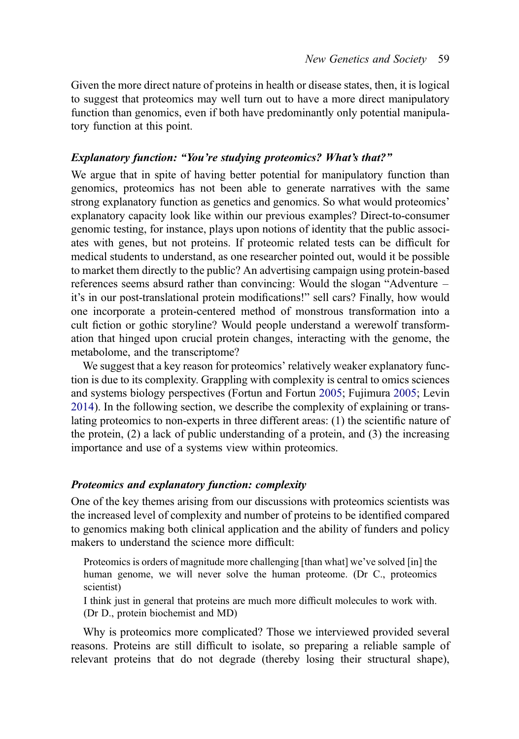<span id="page-11-0"></span>Given the more direct nature of proteins in health or disease states, then, it is logical to suggest that proteomics may well turn out to have a more direct manipulatory function than genomics, even if both have predominantly only potential manipulatory function at this point.

## Explanatory function: "You're studying proteomics? What's that?"

We argue that in spite of having better potential for manipulatory function than genomics, proteomics has not been able to generate narratives with the same strong explanatory function as genetics and genomics. So what would proteomics' explanatory capacity look like within our previous examples? Direct-to-consumer genomic testing, for instance, plays upon notions of identity that the public associates with genes, but not proteins. If proteomic related tests can be difficult for medical students to understand, as one researcher pointed out, would it be possible to market them directly to the public? An advertising campaign using protein-based references seems absurd rather than convincing: Would the slogan "Adventure – it's in our post-translational protein modifications!" sell cars? Finally, how would one incorporate a protein-centered method of monstrous transformation into a cult fiction or gothic storyline? Would people understand a werewolf transformation that hinged upon crucial protein changes, interacting with the genome, the metabolome, and the transcriptome?

We suggest that a key reason for proteomics' relatively weaker explanatory function is due to its complexity. Grappling with complexity is central to omics sciences and systems biology perspectives (Fortun and Fortun [2005](#page-18-0); Fujimura [2005](#page-18-0); Levin [2014\)](#page-18-0). In the following section, we describe the complexity of explaining or translating proteomics to non-experts in three different areas: (1) the scientific nature of the protein,  $(2)$  a lack of public understanding of a protein, and  $(3)$  the increasing importance and use of a systems view within proteomics.

## Proteomics and explanatory function: complexity

One of the key themes arising from our discussions with proteomics scientists was the increased level of complexity and number of proteins to be identified compared to genomics making both clinical application and the ability of funders and policy makers to understand the science more difficult:

Proteomics is orders of magnitude more challenging [than what] we've solved [in] the human genome, we will never solve the human proteome. (Dr C., proteomics scientist)

I think just in general that proteins are much more difficult molecules to work with. (Dr D., protein biochemist and MD)

Why is proteomics more complicated? Those we interviewed provided several reasons. Proteins are still difficult to isolate, so preparing a reliable sample of relevant proteins that do not degrade (thereby losing their structural shape),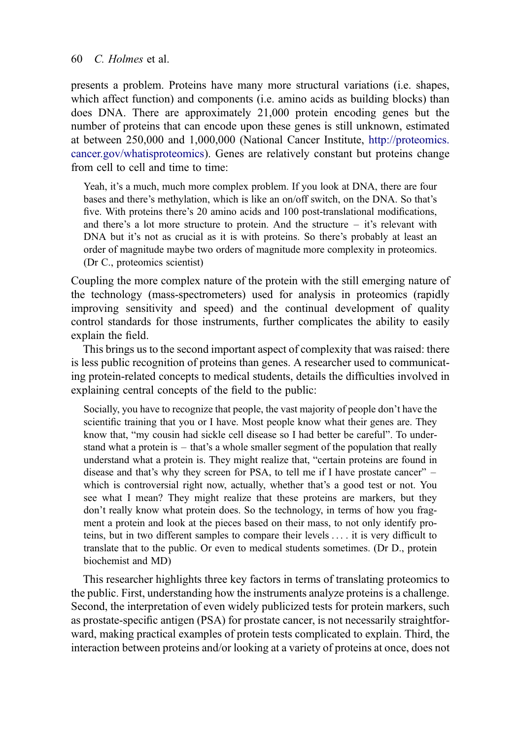presents a problem. Proteins have many more structural variations (i.e. shapes, which affect function) and components (i.e. amino acids as building blocks) than does DNA. There are approximately 21,000 protein encoding genes but the number of proteins that can encode upon these genes is still unknown, estimated at between 250,000 and 1,000,000 (National Cancer Institute, [http://proteomics.](http://proteomics.cancer.gov/whatisproteomics) [cancer.gov/whatisproteomics](http://proteomics.cancer.gov/whatisproteomics)). Genes are relatively constant but proteins change from cell to cell and time to time:

Yeah, it's a much, much more complex problem. If you look at DNA, there are four bases and there's methylation, which is like an on/off switch, on the DNA. So that's five. With proteins there's 20 amino acids and 100 post-translational modifications, and there's a lot more structure to protein. And the structure  $-$  it's relevant with DNA but it's not as crucial as it is with proteins. So there's probably at least an order of magnitude maybe two orders of magnitude more complexity in proteomics. (Dr C., proteomics scientist)

Coupling the more complex nature of the protein with the still emerging nature of the technology (mass-spectrometers) used for analysis in proteomics (rapidly improving sensitivity and speed) and the continual development of quality control standards for those instruments, further complicates the ability to easily explain the field.

This brings us to the second important aspect of complexity that was raised: there is less public recognition of proteins than genes. A researcher used to communicating protein-related concepts to medical students, details the difficulties involved in explaining central concepts of the field to the public:

Socially, you have to recognize that people, the vast majority of people don't have the scientific training that you or I have. Most people know what their genes are. They know that, "my cousin had sickle cell disease so I had better be careful". To understand what a protein is – that's a whole smaller segment of the population that really understand what a protein is. They might realize that, "certain proteins are found in disease and that's why they screen for PSA, to tell me if I have prostate cancer" – which is controversial right now, actually, whether that's a good test or not. You see what I mean? They might realize that these proteins are markers, but they don't really know what protein does. So the technology, in terms of how you fragment a protein and look at the pieces based on their mass, to not only identify proteins, but in two different samples to compare their levels ... . it is very difficult to translate that to the public. Or even to medical students sometimes. (Dr D., protein biochemist and MD)

This researcher highlights three key factors in terms of translating proteomics to the public. First, understanding how the instruments analyze proteins is a challenge. Second, the interpretation of even widely publicized tests for protein markers, such as prostate-specific antigen (PSA) for prostate cancer, is not necessarily straightforward, making practical examples of protein tests complicated to explain. Third, the interaction between proteins and/or looking at a variety of proteins at once, does not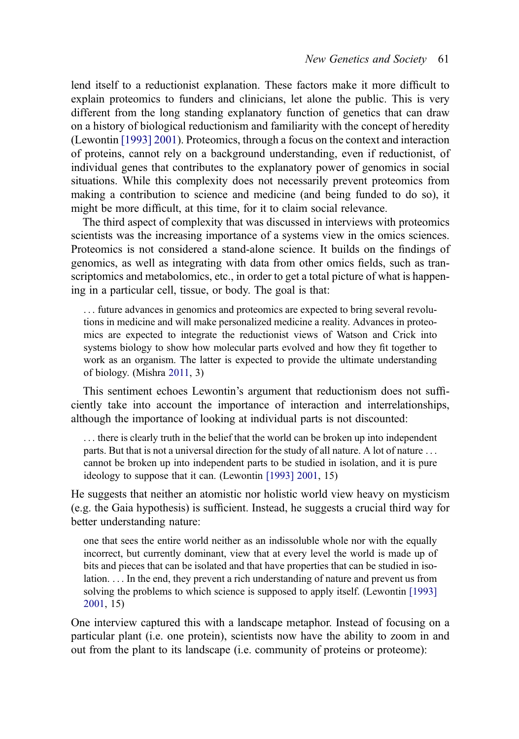lend itself to a reductionist explanation. These factors make it more difficult to explain proteomics to funders and clinicians, let alone the public. This is very different from the long standing explanatory function of genetics that can draw on a history of biological reductionism and familiarity with the concept of heredity (Lewontin [\[1993\] 2001](#page-19-0)). Proteomics, through a focus on the context and interaction of proteins, cannot rely on a background understanding, even if reductionist, of individual genes that contributes to the explanatory power of genomics in social situations. While this complexity does not necessarily prevent proteomics from making a contribution to science and medicine (and being funded to do so), it might be more difficult, at this time, for it to claim social relevance.

The third aspect of complexity that was discussed in interviews with proteomics scientists was the increasing importance of a systems view in the omics sciences. Proteomics is not considered a stand-alone science. It builds on the findings of genomics, as well as integrating with data from other omics fields, such as transcriptomics and metabolomics, etc., in order to get a total picture of what is happening in a particular cell, tissue, or body. The goal is that:

... future advances in genomics and proteomics are expected to bring several revolutions in medicine and will make personalized medicine a reality. Advances in proteomics are expected to integrate the reductionist views of Watson and Crick into systems biology to show how molecular parts evolved and how they fit together to work as an organism. The latter is expected to provide the ultimate understanding of biology. (Mishra [2011](#page-19-0), 3)

This sentiment echoes Lewontin's argument that reductionism does not sufficiently take into account the importance of interaction and interrelationships, although the importance of looking at individual parts is not discounted:

... there is clearly truth in the belief that the world can be broken up into independent parts. But that is not a universal direction for the study of all nature. A lot of nature ... cannot be broken up into independent parts to be studied in isolation, and it is pure ideology to suppose that it can. (Lewontin [\[1993\] 2001](#page-19-0), 15)

He suggests that neither an atomistic nor holistic world view heavy on mysticism (e.g. the Gaia hypothesis) is sufficient. Instead, he suggests a crucial third way for better understanding nature:

one that sees the entire world neither as an indissoluble whole nor with the equally incorrect, but currently dominant, view that at every level the world is made up of bits and pieces that can be isolated and that have properties that can be studied in isolation. ... In the end, they prevent a rich understanding of nature and prevent us from solving the problems to which science is supposed to apply itself. (Lewontin [\[1993\]](#page-19-0) [2001,](#page-19-0) 15)

One interview captured this with a landscape metaphor. Instead of focusing on a particular plant (i.e. one protein), scientists now have the ability to zoom in and out from the plant to its landscape (i.e. community of proteins or proteome):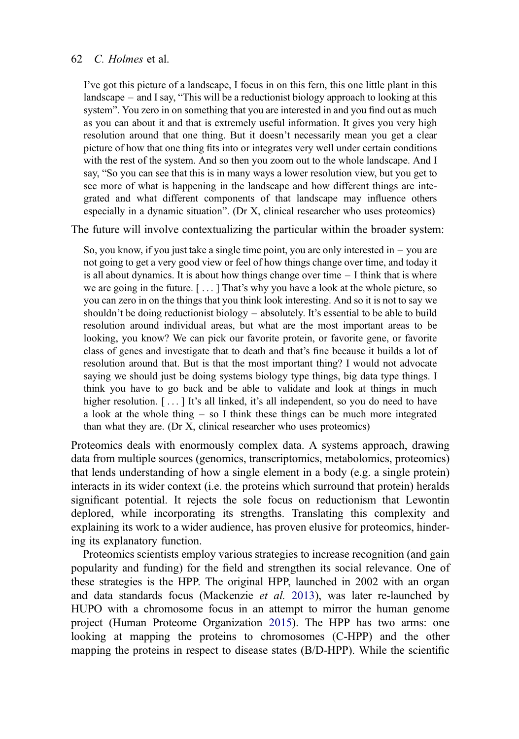<span id="page-14-0"></span>I've got this picture of a landscape, I focus in on this fern, this one little plant in this landscape – and I say, "This will be a reductionist biology approach to looking at this system". You zero in on something that you are interested in and you find out as much as you can about it and that is extremely useful information. It gives you very high resolution around that one thing. But it doesn't necessarily mean you get a clear picture of how that one thing fits into or integrates very well under certain conditions with the rest of the system. And so then you zoom out to the whole landscape. And I say, "So you can see that this is in many ways a lower resolution view, but you get to see more of what is happening in the landscape and how different things are integrated and what different components of that landscape may influence others especially in a dynamic situation". (Dr X, clinical researcher who uses proteomics)

The future will involve contextualizing the particular within the broader system:

So, you know, if you just take a single time point, you are only interested in – you are not going to get a very good view or feel of how things change over time, and today it is all about dynamics. It is about how things change over time – I think that is where we are going in the future. [ ... ] That's why you have a look at the whole picture, so you can zero in on the things that you think look interesting. And so it is not to say we shouldn't be doing reductionist biology – absolutely. It's essential to be able to build resolution around individual areas, but what are the most important areas to be looking, you know? We can pick our favorite protein, or favorite gene, or favorite class of genes and investigate that to death and that's fine because it builds a lot of resolution around that. But is that the most important thing? I would not advocate saying we should just be doing systems biology type things, big data type things. I think you have to go back and be able to validate and look at things in much higher resolution. [...] It's all linked, it's all independent, so you do need to have a look at the whole thing – so I think these things can be much more integrated than what they are. (Dr X, clinical researcher who uses proteomics)

Proteomics deals with enormously complex data. A systems approach, drawing data from multiple sources (genomics, transcriptomics, metabolomics, proteomics) that lends understanding of how a single element in a body (e.g. a single protein) interacts in its wider context (i.e. the proteins which surround that protein) heralds significant potential. It rejects the sole focus on reductionism that Lewontin deplored, while incorporating its strengths. Translating this complexity and explaining its work to a wider audience, has proven elusive for proteomics, hindering its explanatory function.

Proteomics scientists employ various strategies to increase recognition (and gain popularity and funding) for the field and strengthen its social relevance. One of these strategies is the HPP. The original HPP, launched in 2002 with an organ and data standards focus (Mackenzie et al. [2013](#page-19-0)), was later re-launched by HUPO with a chromosome focus in an attempt to mirror the human genome project (Human Proteome Organization [2015\)](#page-18-0). The HPP has two arms: one looking at mapping the proteins to chromosomes (C-HPP) and the other mapping the proteins in respect to disease states (B/D-HPP). While the scientific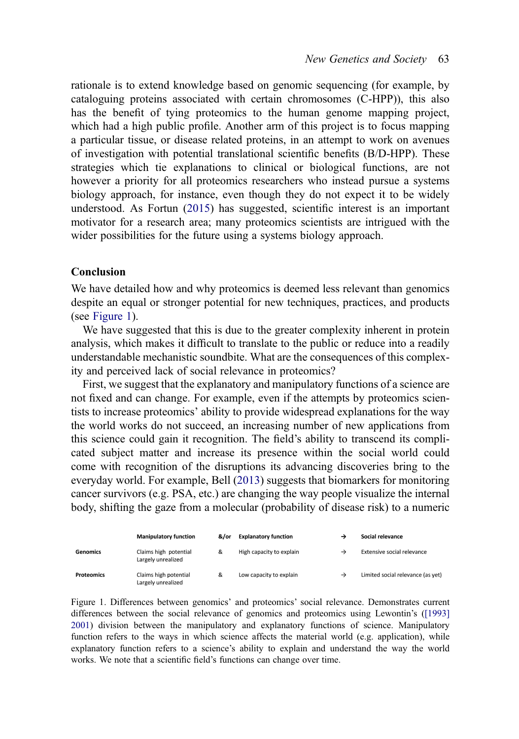<span id="page-15-0"></span>rationale is to extend knowledge based on genomic sequencing (for example, by cataloguing proteins associated with certain chromosomes (C-HPP)), this also has the benefit of tying proteomics to the human genome mapping project, which had a high public profile. Another arm of this project is to focus mapping a particular tissue, or disease related proteins, in an attempt to work on avenues of investigation with potential translational scientific benefits (B/D-HPP). These strategies which tie explanations to clinical or biological functions, are not however a priority for all proteomics researchers who instead pursue a systems biology approach, for instance, even though they do not expect it to be widely understood. As Fortun ([2015\)](#page-18-0) has suggested, scientific interest is an important motivator for a research area; many proteomics scientists are intrigued with the wider possibilities for the future using a systems biology approach.

## **Conclusion**

We have detailed how and why proteomics is deemed less relevant than genomics despite an equal or stronger potential for new techniques, practices, and products (see Figure 1).

We have suggested that this is due to the greater complexity inherent in protein analysis, which makes it difficult to translate to the public or reduce into a readily understandable mechanistic soundbite. What are the consequences of this complexity and perceived lack of social relevance in proteomics?

First, we suggest that the explanatory and manipulatory functions of a science are not fixed and can change. For example, even if the attempts by proteomics scientists to increase proteomics' ability to provide widespread explanations for the way the world works do not succeed, an increasing number of new applications from this science could gain it recognition. The field's ability to transcend its complicated subject matter and increase its presence within the social world could come with recognition of the disruptions its advancing discoveries bring to the everyday world. For example, Bell [\(2013](#page-17-0)) suggests that biomarkers for monitoring cancer survivors (e.g. PSA, etc.) are changing the way people visualize the internal body, shifting the gaze from a molecular (probability of disease risk) to a numeric

|                   | <b>Manipulatory function</b>                | &/or | <b>Explanatory function</b> | Social relevance                  |
|-------------------|---------------------------------------------|------|-----------------------------|-----------------------------------|
| Genomics          | Claims high potential<br>Largely unrealized | &    | High capacity to explain    | Extensive social relevance        |
| <b>Proteomics</b> | Claims high potential<br>Largely unrealized | &    | Low capacity to explain     | Limited social relevance (as yet) |

Figure 1. Differences between genomics' and proteomics' social relevance. Demonstrates current differences between the social relevance of genomics and proteomics using Lewontin's ([\[1993\]](#page-19-0) [2001\)](#page-19-0) division between the manipulatory and explanatory functions of science. Manipulatory function refers to the ways in which science affects the material world (e.g. application), while explanatory function refers to a science's ability to explain and understand the way the world works. We note that a scientific field's functions can change over time.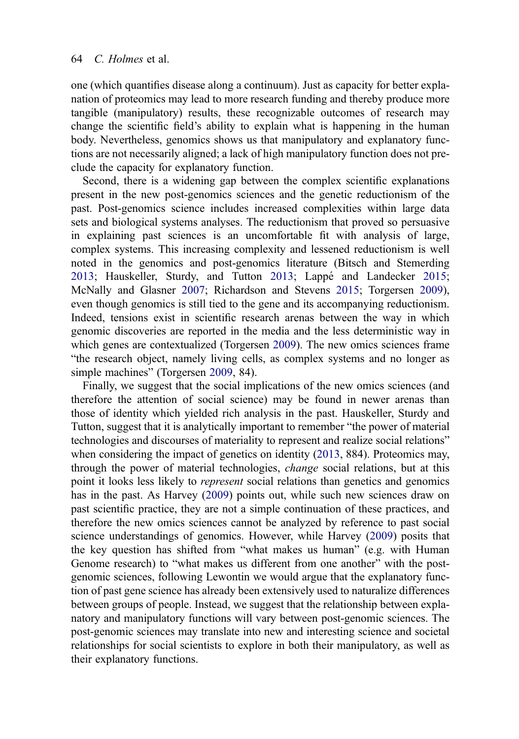<span id="page-16-0"></span>one (which quantifies disease along a continuum). Just as capacity for better explanation of proteomics may lead to more research funding and thereby produce more tangible (manipulatory) results, these recognizable outcomes of research may change the scientific field's ability to explain what is happening in the human body. Nevertheless, genomics shows us that manipulatory and explanatory functions are not necessarily aligned; a lack of high manipulatory function does not preclude the capacity for explanatory function.

Second, there is a widening gap between the complex scientific explanations present in the new post-genomics sciences and the genetic reductionism of the past. Post-genomics science includes increased complexities within large data sets and biological systems analyses. The reductionism that proved so persuasive in explaining past sciences is an uncomfortable fit with analysis of large, complex systems. This increasing complexity and lessened reductionism is well noted in the genomics and post-genomics literature (Bitsch and Stemerding [2013;](#page-17-0) Hauskeller, Sturdy, and Tutton [2013](#page-18-0); Lappé and Landecker [2015;](#page-18-0) McNally and Glasner [2007;](#page-19-0) Richardson and Stevens [2015;](#page-19-0) Torgersen [2009](#page-20-0)), even though genomics is still tied to the gene and its accompanying reductionism. Indeed, tensions exist in scientific research arenas between the way in which genomic discoveries are reported in the media and the less deterministic way in which genes are contextualized (Torgersen [2009\)](#page-20-0). The new omics sciences frame "the research object, namely living cells, as complex systems and no longer as simple machines" (Torgersen [2009](#page-20-0), 84).

Finally, we suggest that the social implications of the new omics sciences (and therefore the attention of social science) may be found in newer arenas than those of identity which yielded rich analysis in the past. Hauskeller, Sturdy and Tutton, suggest that it is analytically important to remember "the power of material technologies and discourses of materiality to represent and realize social relations" when considering the impact of genetics on identity [\(2013](#page-18-0), 884). Proteomics may, through the power of material technologies, change social relations, but at this point it looks less likely to *represent* social relations than genetics and genomics has in the past. As Harvey ([2009\)](#page-18-0) points out, while such new sciences draw on past scientific practice, they are not a simple continuation of these practices, and therefore the new omics sciences cannot be analyzed by reference to past social science understandings of genomics. However, while Harvey ([2009\)](#page-18-0) posits that the key question has shifted from "what makes us human" (e.g. with Human Genome research) to "what makes us different from one another" with the postgenomic sciences, following Lewontin we would argue that the explanatory function of past gene science has already been extensively used to naturalize differences between groups of people. Instead, we suggest that the relationship between explanatory and manipulatory functions will vary between post-genomic sciences. The post-genomic sciences may translate into new and interesting science and societal relationships for social scientists to explore in both their manipulatory, as well as their explanatory functions.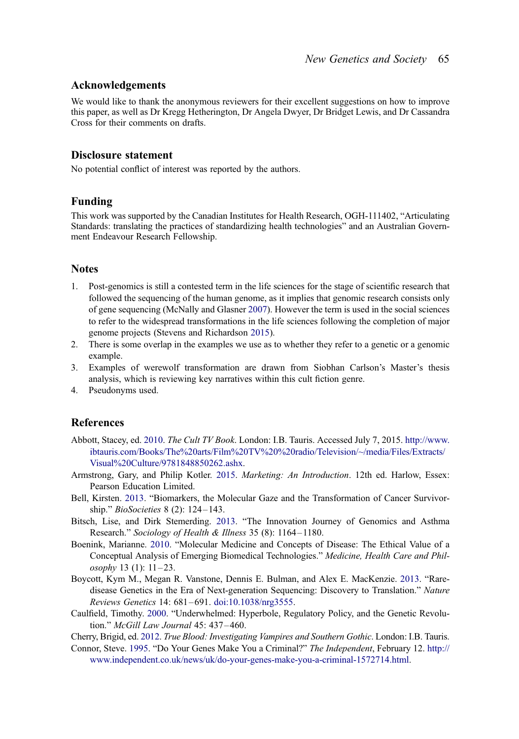## <span id="page-17-0"></span>Acknowledgements

We would like to thank the anonymous reviewers for their excellent suggestions on how to improve this paper, as well as Dr Kregg Hetherington, Dr Angela Dwyer, Dr Bridget Lewis, and Dr Cassandra Cross for their comments on drafts.

#### Disclosure statement

No potential conflict of interest was reported by the authors.

#### Funding

This work was supported by the Canadian Institutes for Health Research, OGH-111402, "Articulating Standards: translating the practices of standardizing health technologies" and an Australian Government Endeavour Research Fellowship.

#### **Notes**

- 1. Post-genomics is still a contested term in the life sciences for the stage of scientific research that followed the sequencing of the human genome, as it implies that genomic research consists only of gene sequencing (McNally and Glasner [2007\)](#page-19-0). However the term is used in the social sciences to refer to the widespread transformations in the life sciences following the completion of major genome projects (Stevens and Richardson [2015](#page-20-0)).
- 2. There is some overlap in the examples we use as to whether they refer to a genetic or a genomic example.
- 3. Examples of werewolf transformation are drawn from Siobhan Carlson's Master's thesis analysis, which is reviewing key narratives within this cult fiction genre.
- 4. Pseudonyms used.

## References

- Abbott, Stacey, ed. [2010.](#page-9-0) The Cult TV Book. London: I.B. Tauris. Accessed July 7, 2015. [http://www.](http://www.ibtauris.com/Books/The%20arts/Film%20TV%20%20radio/Television/~/media/Files/Extracts/Visual%20Culture/9781848850262.ashx) [ibtauris.com/Books/The%20arts/Film%20TV%20%20radio/Television/~/media/Files/Extracts/](http://www.ibtauris.com/Books/The%20arts/Film%20TV%20%20radio/Television/~/media/Files/Extracts/Visual%20Culture/9781848850262.ashx) [Visual%20Culture/9781848850262.ashx.](http://www.ibtauris.com/Books/The%20arts/Film%20TV%20%20radio/Television/~/media/Files/Extracts/Visual%20Culture/9781848850262.ashx)
- Armstrong, Gary, and Philip Kotler. [2015.](#page-9-0) Marketing: An Introduction. 12th ed. Harlow, Essex: Pearson Education Limited.
- Bell, Kirsten. [2013.](#page-15-0) "Biomarkers, the Molecular Gaze and the Transformation of Cancer Survivorship." *BioSocieties* 8 (2): 124-143.
- Bitsch, Lise, and Dirk Stemerding. [2013.](#page-16-0) "The Innovation Journey of Genomics and Asthma Research." Sociology of Health & Illness 35 (8): 1164–1180.
- Boenink, Marianne. [2010](#page-5-0). "Molecular Medicine and Concepts of Disease: The Ethical Value of a Conceptual Analysis of Emerging Biomedical Technologies." Medicine, Health Care and Philosophy 13 (1): 11–23.
- Boycott, Kym M., Megan R. Vanstone, Dennis E. Bulman, and Alex E. MacKenzie. [2013.](#page-5-0) "Raredisease Genetics in the Era of Next-generation Sequencing: Discovery to Translation." Nature Reviews Genetics 14: 681 –691. [doi:10.1038/nrg3555.](http://dx.doi.org/10.1038/nrg3555)
- Caulfield, Timothy. [2000](#page-5-0). "Underwhelmed: Hyperbole, Regulatory Policy, and the Genetic Revolution." McGill Law Journal 45: 437 –460.

Cherry, Brigid, ed. [2012.](#page-9-0) True Blood: Investigating Vampires and Southern Gothic. London: I.B. Tauris.

Connor, Steve. [1995.](#page-6-0) "Do Your Genes Make You a Criminal?" The Independent, February 12. [http://](http://www.independent.co.uk/news/uk/do-your-genes-make-you-a-criminal-1572714.html) [www.independent.co.uk/news/uk/do-your-genes-make-you-a-criminal-1572714.html.](http://www.independent.co.uk/news/uk/do-your-genes-make-you-a-criminal-1572714.html)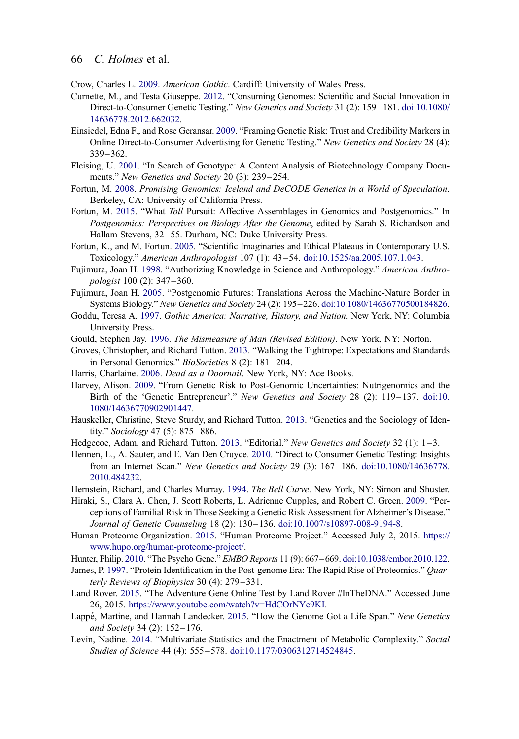<span id="page-18-0"></span>Crow, Charles L. [2009](#page-9-0). American Gothic. Cardiff: University of Wales Press.

- Curnette, M., and Testa Giuseppe. [2012](#page-8-0). "Consuming Genomes: Scientific and Social Innovation in Direct-to-Consumer Genetic Testing." New Genetics and Society 31 (2): 159 –181. [doi:10.1080/](http://dx.doi.org/10.1080/14636778.2012.662032) [14636778.2012.662032.](http://dx.doi.org/10.1080/14636778.2012.662032)
- Einsiedel, Edna F., and Rose Geransar. [2009.](#page-8-0) "Framing Genetic Risk: Trust and Credibility Markers in Online Direct-to-Consumer Advertising for Genetic Testing." New Genetics and Society 28 (4): 339– 362.
- Fleising, U. [2001.](#page-5-0) "In Search of Genotype: A Content Analysis of Biotechnology Company Documents." New Genetics and Society 20 (3): 239-254.
- Fortun, M. [2008.](#page-6-0) Promising Genomics: Iceland and DeCODE Genetics in a World of Speculation. Berkeley, CA: University of California Press.
- Fortun, M. [2015](#page-15-0). "What Toll Pursuit: Affective Assemblages in Genomics and Postgenomics." In Postgenomics: Perspectives on Biology After the Genome, edited by Sarah S. Richardson and Hallam Stevens, 32–55. Durham, NC: Duke University Press.
- Fortun, K., and M. Fortun. [2005](#page-11-0). "Scientific Imaginaries and Ethical Plateaus in Contemporary U.S. Toxicology." American Anthropologist 107 (1): 43– 54. [doi:10.1525/aa.2005.107.1.043](http://dx.doi.org/10.1525/aa.2005.107.1.043).
- Fujimura, Joan H. [1998.](#page-2-0) "Authorizing Knowledge in Science and Anthropology." American Anthropologist 100 (2): 347 –360.
- Fujimura, Joan H. [2005](#page-11-0). "Postgenomic Futures: Translations Across the Machine-Nature Border in Systems Biology." New Genetics and Society 24 (2): 195–226. [doi:10.1080/14636770500184826](http://dx.doi.org/10.1080/14636770500184826).
- Goddu, Teresa A. [1997](#page-9-0). Gothic America: Narrative, History, and Nation. New York, NY: Columbia University Press.
- Gould, Stephen Jay. [1996.](#page-4-0) The Mismeasure of Man (Revised Edition). New York, NY: Norton.
- Groves, Christopher, and Richard Tutton. [2013.](#page-8-0) "Walking the Tightrope: Expectations and Standards in Personal Genomics." BioSocieties 8 (2): 181-204.
- Harris, Charlaine. [2006](#page-9-0). Dead as a Doornail. New York, NY: Ace Books.
- Harvey, Alison. [2009.](#page-10-0) "From Genetic Risk to Post-Genomic Uncertainties: Nutrigenomics and the Birth of the 'Genetic Entrepreneur'." New Genetics and Society 28 (2): 119–137. [doi:10.](http://dx.doi.org/10.1080/14636770902901447) [1080/14636770902901447](http://dx.doi.org/10.1080/14636770902901447).
- Hauskeller, Christine, Steve Sturdy, and Richard Tutton. [2013.](#page-16-0) "Genetics and the Sociology of Identity." Sociology 47 (5): 875 –886.
- Hedgecoe, Adam, and Richard Tutton. [2013.](#page-6-0) "Editorial." New Genetics and Society 32 (1): 1-3.
- Hennen, L., A. Sauter, and E. Van Den Cruyce. [2010](#page-8-0). "Direct to Consumer Genetic Testing: Insights from an Internet Scan." New Genetics and Society 29 (3): 167 –186. [doi:10.1080/14636778.](http://dx.doi.org/10.1080/14636778.2010.484232) [2010.484232.](http://dx.doi.org/10.1080/14636778.2010.484232)
- Hernstein, Richard, and Charles Murray. [1994](#page-4-0). The Bell Curve. New York, NY: Simon and Shuster.
- Hiraki, S., Clara A. Chen, J. Scott Roberts, L. Adrienne Cupples, and Robert C. Green. [2009](#page-8-0). "Perceptions of Familial Risk in Those Seeking a Genetic Risk Assessment for Alzheimer's Disease." Journal of Genetic Counseling 18 (2): 130 –136. [doi:10.1007/s10897-008-9194-8.](http://dx.doi.org/10.1007/s10897-008-9194-8)
- Human Proteome Organization. [2015](#page-14-0). "Human Proteome Project." Accessed July 2, 2015. [https://](https://www.hupo.org/human-proteome-project/) [www.hupo.org/human-proteome-project/.](https://www.hupo.org/human-proteome-project/)
- Hunter, Philip. [2010](#page-6-0). "The Psycho Gene." EMBO Reports 11 (9): 667–669. [doi:10.1038/embor.2010.122](http://dx.doi.org/10.1038/embor.2010.122).
- James, P. [1997.](#page-2-0) "Protein Identification in the Post-genome Era: The Rapid Rise of Proteomics." Quarterly Reviews of Biophysics 30 (4): 279 –331.
- Land Rover. [2015.](#page-9-0) "The Adventure Gene Online Test by Land Rover #InTheDNA." Accessed June 26, 2015. [https://www.youtube.com/watch?v=HdCOrNYc9KI.](https://www.youtube.com/watch?v=HdCOrNYc9KI)
- Lappé, Martine, and Hannah Landecker. [2015](#page-16-0). "How the Genome Got a Life Span." New Genetics and Society 34 (2): 152-176.
- Levin, Nadine. [2014.](#page-11-0) "Multivariate Statistics and the Enactment of Metabolic Complexity." Social Studies of Science 44 (4): 555 –578. [doi:10.1177/0306312714524845.](http://dx.doi.org/10.1177/0306312714524845)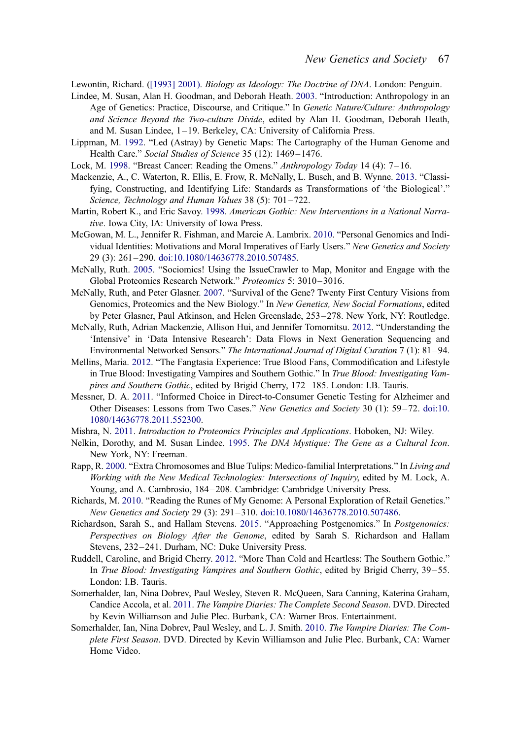<span id="page-19-0"></span>Lewontin, Richard. ([\[1993\] 2001\)](#page-3-0). Biology as Ideology: The Doctrine of DNA. London: Penguin.

- Lindee, M. Susan, Alan H. Goodman, and Deborah Heath. [2003](#page-2-0). "Introduction: Anthropology in an Age of Genetics: Practice, Discourse, and Critique." In Genetic Nature/Culture: Anthropology and Science Beyond the Two-culture Divide, edited by Alan H. Goodman, Deborah Heath, and M. Susan Lindee, 1–19. Berkeley, CA: University of California Press.
- Lippman, M. [1992](#page-9-0). "Led (Astray) by Genetic Maps: The Cartography of the Human Genome and Health Care." Social Studies of Science 35 (12): 1469–1476.
- Lock, M. [1998.](#page-5-0) "Breast Cancer: Reading the Omens." Anthropology Today 14 (4): 7–16.
- Mackenzie, A., C. Waterton, R. Ellis, E. Frow, R. McNally, L. Busch, and B. Wynne. [2013](#page-3-0). "Classifying, Constructing, and Identifying Life: Standards as Transformations of 'the Biological'." Science, Technology and Human Values 38 (5): 701-722.
- Martin, Robert K., and Eric Savoy. [1998.](#page-9-0) American Gothic: New Interventions in a National Narrative. Iowa City, IA: University of Iowa Press.
- McGowan, M. L., Jennifer R. Fishman, and Marcie A. Lambrix. [2010](#page-8-0). "Personal Genomics and Individual Identities: Motivations and Moral Imperatives of Early Users." New Genetics and Society 29 (3): 261 –290. [doi:10.1080/14636778.2010.507485.](http://dx.doi.org/10.1080/14636778.2010.507485)
- McNally, Ruth. [2005](#page-3-0). "Sociomics! Using the IssueCrawler to Map, Monitor and Engage with the Global Proteomics Research Network." Proteomics 5: 3010–3016.
- McNally, Ruth, and Peter Glasner. [2007.](#page-3-0) "Survival of the Gene? Twenty First Century Visions from Genomics, Proteomics and the New Biology." In New Genetics, New Social Formations, edited by Peter Glasner, Paul Atkinson, and Helen Greenslade, 253 –278. New York, NY: Routledge.
- McNally, Ruth, Adrian Mackenzie, Allison Hui, and Jennifer Tomomitsu. [2012](#page-3-0). "Understanding the 'Intensive' in 'Data Intensive Research': Data Flows in Next Generation Sequencing and Environmental Networked Sensors." The International Journal of Digital Curation 7 (1): 81–94.
- Mellins, Maria. [2012](#page-9-0). "The Fangtasia Experience: True Blood Fans, Commodification and Lifestyle in True Blood: Investigating Vampires and Southern Gothic." In True Blood: Investigating Vampires and Southern Gothic, edited by Brigid Cherry, 172 –185. London: I.B. Tauris.
- Messner, D. A. [2011.](#page-8-0) "Informed Choice in Direct-to-Consumer Genetic Testing for Alzheimer and Other Diseases: Lessons from Two Cases." New Genetics and Society 30 (1): 59–72. [doi:10.](http://dx.doi.org/10.1080/14636778.2011.552300) [1080/14636778.2011.552300](http://dx.doi.org/10.1080/14636778.2011.552300).
- Mishra, N. [2011.](#page-2-0) Introduction to Proteomics Principles and Applications. Hoboken, NJ: Wiley.
- Nelkin, Dorothy, and M. Susan Lindee. [1995](#page-2-0). The DNA Mystique: The Gene as a Cultural Icon. New York, NY: Freeman.
- Rapp, R. [2000.](#page-5-0) "Extra Chromosomes and Blue Tulips: Medico-familial Interpretations." In Living and Working with the New Medical Technologies: Intersections of Inquiry, edited by M. Lock, A. Young, and A. Cambrosio, 184 –208. Cambridge: Cambridge University Press.
- Richards, M. [2010](#page-8-0). "Reading the Runes of My Genome: A Personal Exploration of Retail Genetics." New Genetics and Society 29 (3): 291– 310. [doi:10.1080/14636778.2010.507486.](http://dx.doi.org/10.1080/14636778.2010.507486)
- Richardson, Sarah S., and Hallam Stevens. [2015](#page-7-0). "Approaching Postgenomics." In Postgenomics: Perspectives on Biology After the Genome, edited by Sarah S. Richardson and Hallam Stevens, 232-241. Durham, NC: Duke University Press.
- Ruddell, Caroline, and Brigid Cherry. [2012.](#page-9-0) "More Than Cold and Heartless: The Southern Gothic." In True Blood: Investigating Vampires and Southern Gothic, edited by Brigid Cherry, 39 –55. London: I.B. Tauris.
- Somerhalder, Ian, Nina Dobrev, Paul Wesley, Steven R. McQueen, Sara Canning, Katerina Graham, Candice Accola, et al. [2011](#page-9-0). The Vampire Diaries: The Complete Second Season. DVD. Directed by Kevin Williamson and Julie Plec. Burbank, CA: Warner Bros. Entertainment.
- Somerhalder, Ian, Nina Dobrev, Paul Wesley, and L. J. Smith. [2010](#page-9-0). The Vampire Diaries: The Complete First Season. DVD. Directed by Kevin Williamson and Julie Plec. Burbank, CA: Warner Home Video.